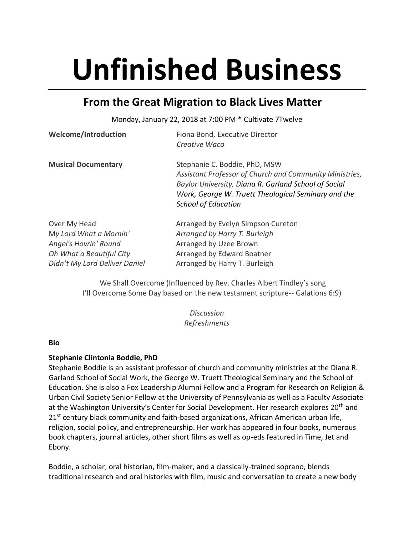# **Unfinished Business**

## **From the Great Migration to Black Lives Matter**

Monday, January 22, 2018 at 7:00 PM \* Cultivate 7Twelve

| <b>Welcome/Introduction</b> | Fiona Bond, Executive Director                          |  |
|-----------------------------|---------------------------------------------------------|--|
|                             | Creative Waco                                           |  |
| <b>Musical Documentary</b>  | Stephanie C. Boddie, PhD, MSW                           |  |
|                             | Assistant Professor of Church and Community Ministries, |  |
|                             | Baylor University, Diana R. Garland School of Social    |  |
|                             | Work, George W. Truett Theological Seminary and the     |  |
|                             | <b>School of Education</b>                              |  |
| Over My Head                | Arranged by Evelyn Simpson Cureton                      |  |
| My Lord What a Mornin'      | Arranged by Harry T. Burleigh                           |  |

| <b>UVUI IVIY IILUU</b>        | $\frac{1}{2}$ and $\frac{1}{2}$ and $\frac{1}{2}$ and $\frac{1}{2}$ and $\frac{1}{2}$ and $\frac{1}{2}$ and $\frac{1}{2}$ and $\frac{1}{2}$ and $\frac{1}{2}$ and $\frac{1}{2}$ and $\frac{1}{2}$ and $\frac{1}{2}$ and $\frac{1}{2}$ and $\frac{1}{2}$ and $\frac{1}{2}$ and $\frac{1}{2}$ a |
|-------------------------------|-----------------------------------------------------------------------------------------------------------------------------------------------------------------------------------------------------------------------------------------------------------------------------------------------|
| My Lord What a Mornin'        | Arranged by Harry T. Burleigh                                                                                                                                                                                                                                                                 |
| Angel's Hovrin' Round         | Arranged by Uzee Brown                                                                                                                                                                                                                                                                        |
| Oh What a Beautiful City      | Arranged by Edward Boatner                                                                                                                                                                                                                                                                    |
| Didn't My Lord Deliver Daniel | Arranged by Harry T. Burleigh                                                                                                                                                                                                                                                                 |
|                               |                                                                                                                                                                                                                                                                                               |

We Shall Overcome (Influenced by Rev. Charles Albert Tindley's song I'll Overcome Some Day based on the new testament scripture-- Galations 6:9)

> *Discussion Refreshments*

#### **Bio**

### **Stephanie Clintonia Boddie, PhD**

Stephanie Boddie is an assistant professor of church and community ministries at the Diana R. Garland School of Social Work, the George W. Truett Theological Seminary and the School of Education. She is also a Fox Leadership Alumni Fellow and a Program for Research on Religion & Urban Civil Society Senior Fellow at the University of Pennsylvania as well as a Faculty Associate at the Washington University's Center for Social Development. Her research explores 20<sup>th</sup> and 21<sup>st</sup> century black community and faith-based organizations, African American urban life, religion, social policy, and entrepreneurship. Her work has appeared in four books, numerous book chapters, journal articles, other short films as well as op-eds featured in Time, Jet and Ebony.

Boddie, a scholar, oral historian, film-maker, and a classically-trained soprano, blends traditional research and oral histories with film, music and conversation to create a new body